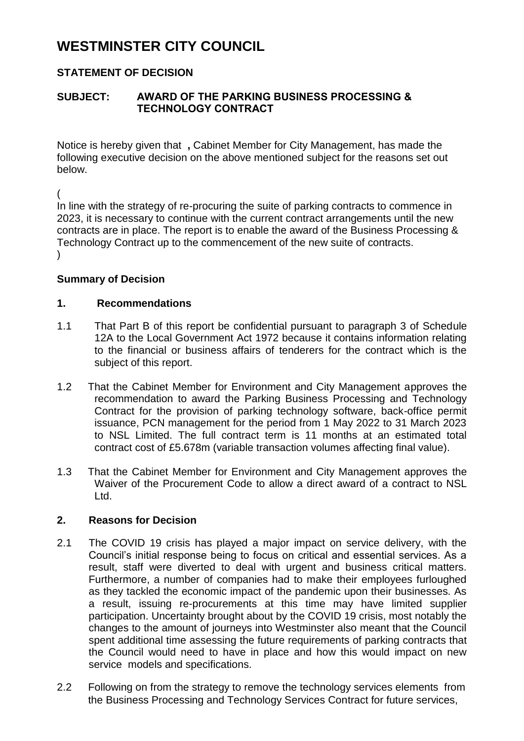# **WESTMINSTER CITY COUNCIL**

# **STATEMENT OF DECISION**

## **SUBJECT: AWARD OF THE PARKING BUSINESS PROCESSING & TECHNOLOGY CONTRACT**

Notice is hereby given that **,** Cabinet Member for City Management, has made the following executive decision on the above mentioned subject for the reasons set out below.

( In line with the strategy of re-procuring the suite of parking contracts to commence in 2023, it is necessary to continue with the current contract arrangements until the new contracts are in place. The report is to enable the award of the Business Processing & Technology Contract up to the commencement of the new suite of contracts.  $\lambda$ 

#### **Summary of Decision**

#### **1. Recommendations**

- 1.1 That Part B of this report be confidential pursuant to paragraph 3 of Schedule 12A to the Local Government Act 1972 because it contains information relating to the financial or business affairs of tenderers for the contract which is the subject of this report.
- 1.2 That the Cabinet Member for Environment and City Management approves the recommendation to award the Parking Business Processing and Technology Contract for the provision of parking technology software, back-office permit issuance, PCN management for the period from 1 May 2022 to 31 March 2023 to NSL Limited. The full contract term is 11 months at an estimated total contract cost of £5.678m (variable transaction volumes affecting final value).
- 1.3 That the Cabinet Member for Environment and City Management approves the Waiver of the Procurement Code to allow a direct award of a contract to NSL Ltd.

### **2. Reasons for Decision**

- 2.1 The COVID 19 crisis has played a major impact on service delivery, with the Council's initial response being to focus on critical and essential services. As a result, staff were diverted to deal with urgent and business critical matters. Furthermore, a number of companies had to make their employees furloughed as they tackled the economic impact of the pandemic upon their businesses. As a result, issuing re-procurements at this time may have limited supplier participation. Uncertainty brought about by the COVID 19 crisis, most notably the changes to the amount of journeys into Westminster also meant that the Council spent additional time assessing the future requirements of parking contracts that the Council would need to have in place and how this would impact on new service models and specifications.
- 2.2 Following on from the strategy to remove the technology services elements from the Business Processing and Technology Services Contract for future services,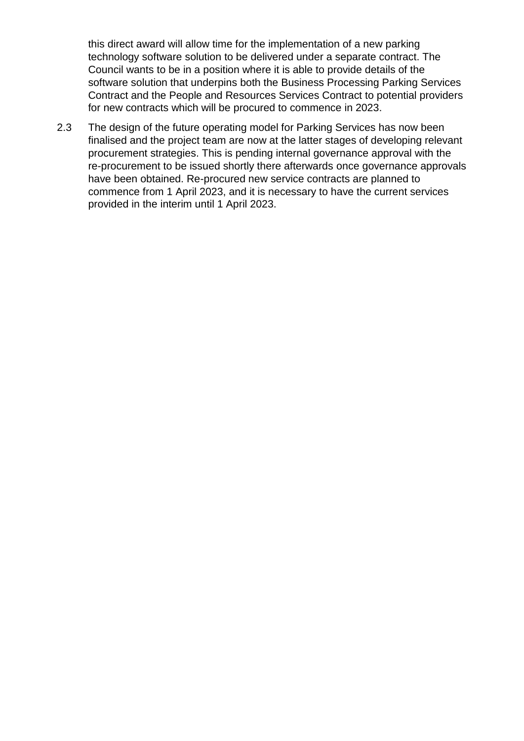this direct award will allow time for the implementation of a new parking technology software solution to be delivered under a separate contract. The Council wants to be in a position where it is able to provide details of the software solution that underpins both the Business Processing Parking Services Contract and the People and Resources Services Contract to potential providers for new contracts which will be procured to commence in 2023.

2.3 The design of the future operating model for Parking Services has now been finalised and the project team are now at the latter stages of developing relevant procurement strategies. This is pending internal governance approval with the re-procurement to be issued shortly there afterwards once governance approvals have been obtained. Re-procured new service contracts are planned to commence from 1 April 2023, and it is necessary to have the current services provided in the interim until 1 April 2023.